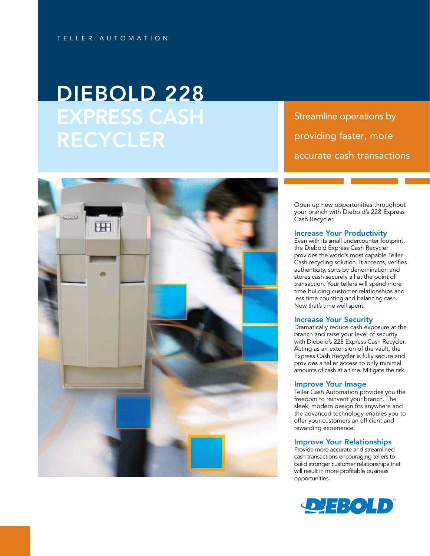# DIEBOLD 228 EXPRESS CASH RECYCLER

Streamline operations by providing faster, more accurate cash transactions



Open up new opportunities throughout your branch with Diebold's 228 Express Cash Recycler.

# Increase Your Productivity

Even with its small undercounter footprint, the Diebold Express Cash Recycler provides the world's most capable Teller Cash recycling solution. It accepts, verifies authenticity, sorts by denomination and stores cash securely all at the point of transaction. Your tellers will spend more time building customer relationships and less time counting and balancing cash. Now that's time well spent.

# Increase Your Security

Dramatically reduce cash exposure at the branch and raise your level of security with Diebold's 228 Express Cash Recycler. Acting as an extension of the vault, the Express Cash Recycler is fully secure and provides a teller access to only minimal amounts of cash at a time. Mitigate the risk.

#### Improve Your Image

Teller Cash Automation provides you the freedom to reinvent your branch. The sleek, modern design fits anywhere and the advanced technology enables you to offer your customers an efficient and rewarding experience.

# Improve Your Relationships

Provide more accurate and streamlined cash transactions encouraging tellers to build stronger customer relationships that will result in more profitable business opportunities.